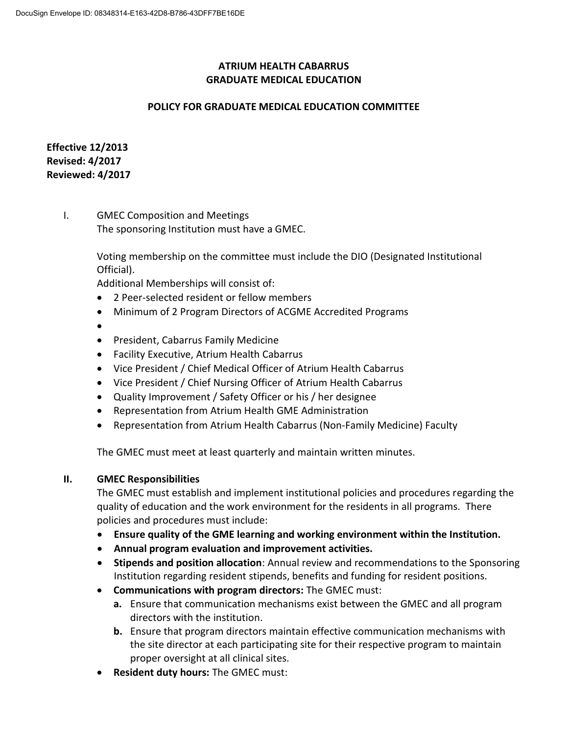## **ATRIUM HEALTH CABARRUS GRADUATE MEDICAL EDUCATION**

#### **POLICY FOR GRADUATE MEDICAL EDUCATION COMMITTEE**

## **Effective 12/2013 Revised: 4/2017 Reviewed: 4/2017**

# I. GMEC Composition and Meetings The sponsoring Institution must have a GMEC.

Voting membership on the committee must include the DIO (Designated Institutional Official).

Additional Memberships will consist of:

- 2 Peer-selected resident or fellow members
- Minimum of 2 Program Directors of ACGME Accredited Programs
- $\bullet$
- President, Cabarrus Family Medicine
- Facility Executive, Atrium Health Cabarrus
- Vice President / Chief Medical Officer of Atrium Health Cabarrus
- Vice President / Chief Nursing Officer of Atrium Health Cabarrus
- Quality Improvement / Safety Officer or his / her designee
- Representation from Atrium Health GME Administration
- Representation from Atrium Health Cabarrus (Non-Family Medicine) Faculty

The GMEC must meet at least quarterly and maintain written minutes.

#### **II. GMEC Responsibilities**

The GMEC must establish and implement institutional policies and procedures regarding the quality of education and the work environment for the residents in all programs. There policies and procedures must include:

- **Ensure quality of the GME learning and working environment within the Institution.**
- **Annual program evaluation and improvement activities.**
- **Stipends and position allocation**: Annual review and recommendations to the Sponsoring Institution regarding resident stipends, benefits and funding for resident positions.
- **Communications with program directors:** The GMEC must:
	- **a.** Ensure that communication mechanisms exist between the GMEC and all program directors with the institution.
	- **b.** Ensure that program directors maintain effective communication mechanisms with the site director at each participating site for their respective program to maintain proper oversight at all clinical sites.
- **Resident duty hours:** The GMEC must: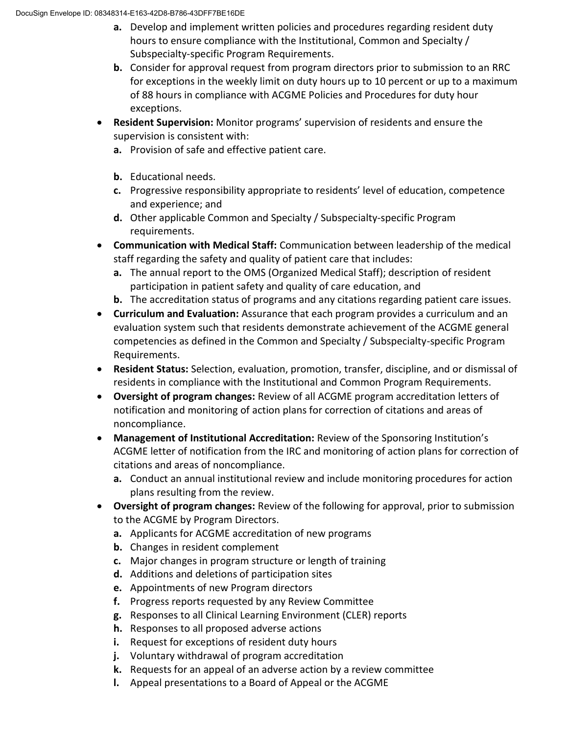- **a.** Develop and implement written policies and procedures regarding resident duty hours to ensure compliance with the Institutional, Common and Specialty / Subspecialty-specific Program Requirements.
- **b.** Consider for approval request from program directors prior to submission to an RRC for exceptions in the weekly limit on duty hours up to 10 percent or up to a maximum of 88 hours in compliance with ACGME Policies and Procedures for duty hour exceptions.
- **Resident Supervision:** Monitor programs' supervision of residents and ensure the supervision is consistent with:
	- **a.** Provision of safe and effective patient care.
	- **b.** Educational needs.
	- **c.** Progressive responsibility appropriate to residents' level of education, competence and experience; and
	- **d.** Other applicable Common and Specialty / Subspecialty-specific Program requirements.
- **Communication with Medical Staff:** Communication between leadership of the medical staff regarding the safety and quality of patient care that includes:
	- **a.** The annual report to the OMS (Organized Medical Staff); description of resident participation in patient safety and quality of care education, and
	- **b.** The accreditation status of programs and any citations regarding patient care issues.
- **Curriculum and Evaluation:** Assurance that each program provides a curriculum and an evaluation system such that residents demonstrate achievement of the ACGME general competencies as defined in the Common and Specialty / Subspecialty-specific Program Requirements.
- **Resident Status:** Selection, evaluation, promotion, transfer, discipline, and or dismissal of residents in compliance with the Institutional and Common Program Requirements.
- **Oversight of program changes:** Review of all ACGME program accreditation letters of notification and monitoring of action plans for correction of citations and areas of noncompliance.
- **Management of Institutional Accreditation:** Review of the Sponsoring Institution's ACGME letter of notification from the IRC and monitoring of action plans for correction of citations and areas of noncompliance.
	- **a.** Conduct an annual institutional review and include monitoring procedures for action plans resulting from the review.
- **Oversight of program changes:** Review of the following for approval, prior to submission to the ACGME by Program Directors.
	- **a.** Applicants for ACGME accreditation of new programs
	- **b.** Changes in resident complement
	- **c.** Major changes in program structure or length of training
	- **d.** Additions and deletions of participation sites
	- **e.** Appointments of new Program directors
	- **f.** Progress reports requested by any Review Committee
	- **g.** Responses to all Clinical Learning Environment (CLER) reports
	- **h.** Responses to all proposed adverse actions
	- **i.** Request for exceptions of resident duty hours
	- **j.** Voluntary withdrawal of program accreditation
	- **k.** Requests for an appeal of an adverse action by a review committee
	- **l.** Appeal presentations to a Board of Appeal or the ACGME